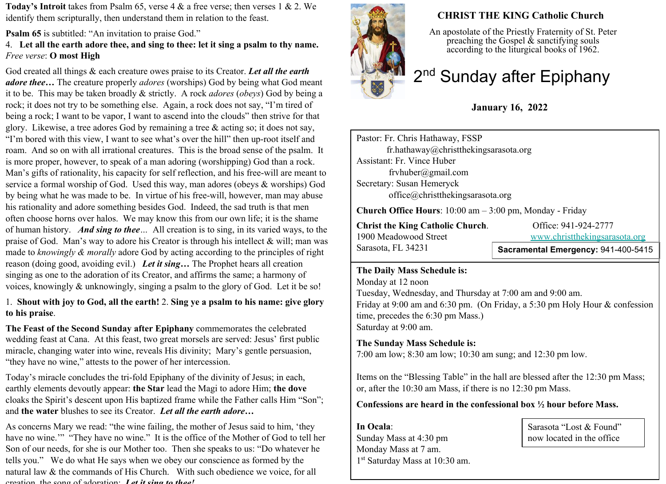**Today's Introit** takes from Psalm 65, verse 4 & a free verse; then verses 1 & 2. We identify them scripturally, then understand them in relation to the feast.

**Psalm 65** is subtitled: "An invitation to praise God."

4. **Let all the earth adore thee, and sing to thee: let it sing a psalm to thy name.** *Free verse*: **O most High**

God created all things & each creature owes praise to its Creator. *Let all the earth adore thee…* The creature properly *adores* (worships) God by being what God meant it to be. This may be taken broadly & strictly. A rock *adores* (*obeys*) God by being a rock; it does not try to be something else. Again, a rock does not say, "I'm tired of being a rock; I want to be vapor, I want to ascend into the clouds" then strive for that glory. Likewise, a tree adores God by remaining a tree & acting so; it does not say, "I'm bored with this view, I want to see what's over the hill" then up-root itself and roam. And so on with all irrational creatures. This is the broad sense of the psalm. It is more proper, however, to speak of a man adoring (worshipping) God than a rock. Man's gifts of rationality, his capacity for self reflection, and his free-will are meant to service a formal worship of God. Used this way, man adores (obeys & worships) God by being what he was made to be. In virtue of his free-will, however, man may abuse his rationality and adore something besides God. Indeed, the sad truth is that men often choose horns over halos. We may know this from our own life; it is the shame of human history. *And sing to thee…* All creation is to sing, in its varied ways, to the praise of God. Man's way to adore his Creator is through his intellect & will; man was made to *knowingly & morally* adore God by acting according to the principles of right reason (doing good, avoiding evil.) *Let it sing…* The Prophet hears all creation singing as one to the adoration of its Creator, and affirms the same; a harmony of voices, knowingly & unknowingly, singing a psalm to the glory of God. Let it be so!

#### 1. **Shout with joy to God, all the earth!** 2. **Sing ye a psalm to his name: give glory to his praise**.

**The Feast of the Second Sunday after Epiphany** commemorates the celebrated wedding feast at Cana.At this feast, two great morsels are served: Jesus' first public miracle, changing water into wine, reveals His divinity; Mary's gentle persuasion, "they have no wine," attests to the power of her intercession.

Today's miracle concludes the tri-fold Epiphany of the divinity of Jesus; in each, earthly elements devoutly appear: **the Star** lead the Magi to adore Him; **the dove** cloaks the Spirit's descent upon His baptized frame while the Father calls Him "Son"; and **the water** blushes to see its Creator. *Let all the earth adore…*

As concerns Mary we read: "the wine failing, the mother of Jesus said to him, 'they have no wine."" "They have no wine." It is the office of the Mother of God to tell her Son of our needs, for she is our Mother too. Then she speaks to us: "Do whatever he tells you." We do what He says when we obey our conscience as formed by the natural law & the commands of His Church. With such obedience we voice, for all creation, the song of adoration: *Let it sing to thee!*



# **CHRIST THE KING Catholic Church**

An apostolate of the Priestly Fraternity of St. Peter preaching the Gospel  $\&$  sanctifying souls according to the liturgical books of 1962.

# 2<sup>nd</sup> Sunday after Epiphany

# **January 16, 2022**

Pastor: Fr. Chris Hathaway, FSSP fr.hathaway@christthekingsarasota.org Assistant: Fr. Vince Huber frvhuber@gmail.com Secretary: Susan Hemeryck office@christthekingsarasota.org

**Church Office Hours**: 10:00 am – 3:00 pm, Monday - Friday

**Christ the King Catholic Church.** Office: 941-924-2777 1900 Meadowood Street [www.christthekingsarasota.org](http://www.christthekingsarasota.org/) Sarasota, FL 34231

### **Sacramental Emergency:** 941-400-5415

#### **The Daily Mass Schedule is:**

Monday at 12 noon Tuesday, Wednesday, and Thursday at 7:00 am and 9:00 am. Friday at 9:00 am and 6:30 pm. (On Friday, a 5:30 pm Holy Hour & confession time, precedes the 6:30 pm Mass.) Saturday at 9:00 am.

### **The Sunday Mass Schedule is:**

7:00 am low; 8:30 am low; 10:30 am sung; and 12:30 pm low.

Items on the "Blessing Table" in the hall are blessed after the 12:30 pm Mass; or, after the 10:30 am Mass, if there is no 12:30 pm Mass.

#### **Confessions are heard in the confessional box ½ hour before Mass.**

**In Ocala**: Sunday Mass at 4:30 pm Monday Mass at 7 am. 1 st Saturday Mass at 10:30 am.

Sarasota "Lost & Found" now located in the office